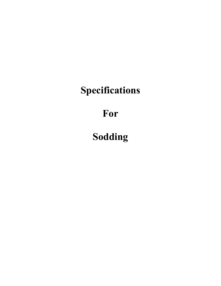## **Specifications**

## **For**

# **Sodding**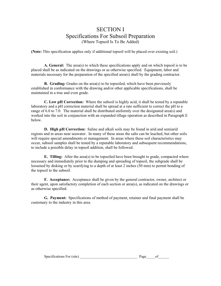#### SECTION I Specifications For Subsoil Preparation (Where Topsoil Is To Be Added)

**(Note:** This specification applies only if additional topsoil will be placed over existing soil.)

**A. General:** The area(s) to which these specifications apply and on which topsoil is to be placed shall be as indicated on the drawings or as otherwise specified. Equipment, labor and materials necessary for the preparation of the specified area(s) shall by the grading contractor.

**B. Grading:** Grades on the area(s) to be topsoiled, which have been previously established in conformance with the drawing and/or other applicable specifications, shall be maintained in a true and even grade.

**C. Low pH Correction:** Where the subsoil is highly acid, it shall be tested by a reputable laboratory and a pH correction material shall be spread at a rate sufficient to correct the pH to a range of 6.0 to 7.0. The material shall be distributed uniformly over the designated area(s) and worked into the soil in conjunction with an expanded tillage operation as described in Paragraph E below.

**D. High pH Correction:** Saline and alkali soils may be found in arid and semiarid regions and in areas near seawater. In many of these areas the salts can be leached, but other soils will require special amendments or management. In areas where these soil characteristics may occur, subsoil samples shall be tested by a reputable laboratory and subsequent recommendations, to include a possible delay in topsoil addition, shall be followed.

**E. Tilling:** After the area(s) to be topsoiled have been brought to grade, compacted where necessary and immediately prior to the dumping and spreading of topsoil, the subgrade shall be loosened by disking or by scarifying to a depth of at least 2 inches (50 mm) to permit bonding of the topsoil to the subsoil.

**F. Acceptance:** Acceptance shall be given by the general contractor, owner, architect or their agent, upon satisfactory completion of each section or area(s), as indicated on the drawings or as otherwise specified.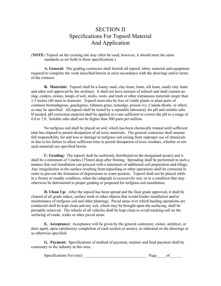### SECTION II Specifications For Topsoil Material And Application

(**NOTE:** Topsoil on the existing site may often be used; however, it should meet the same standards as set forth in these specifications.)

**A. General:** The grading contractor shall furnish all topsoil, labor, material and equipment required to complete the work described herein in strict accordance with the drawings and/or terms of the contract.

**B. Materials:** Topsoil shall be a loamy sand, clay loam, loam, silt loam, sandy clay loam and other soil approved by the architect. It shall not have mixture of subsoil and shall contain no slag, cinders, stones, lumps of soil, sticks, roots, and trash or other extraneous materials larger than 1.5 inches (40 mm) in diameter. Topsoil must also be free of viable plants or plant parts of common bermudagrass, quackgrass, Johnson grass, nutsedge, poison ivy, Canada thistle, or others as may be specified. All topsoil shall be tested by a reputable laboratory for pH and soluble salts. If needed, pH correction material shall be applied at a rate sufficient to correct the pH to a range of 6.0 to 7.0. Soluble salts shall not be higher than 500 parts per million.

 No turfgrass sod shall be placed on soil, which has been chemically treated until sufficient time has elapsed to permit dissipation of all toxic materials. The general contractor shall assume full responsibility for and loss or damage to turfgrass sod arising from improper use of chemicals or due to his failure to allow sufficient time to permit dissipation of toxic residues, whether or not such materials are specified herein.

**C. Grading:** The topsoil shall be uniformly distributed on the designated area(s) and it shall be a minimum of 3 inches (75mm) deep after firming. Spreading shall be performed in such a manner that sod installation can proceed with a minimum of additional soil preparation and tillage. Any irregularities in the surface resulting from topsoiling or other operations shall be corrected in order to prevent the formation of depressions or water pockets. Topsoil shall not be placed while in a frozen or muddy condition, when the subgrade is excessively wet, or in a condition that may otherwise be detrimental to proper grading or proposed for turfgrass sod installation.

**D. Clean Up:** After the topsoil has been spread and the final grade approved, it shall be cleared of all grade stakes, surface trash or other objects that would hinder installation and/or maintenance of turfgrass sod and other plantings. Paved areas over which hauling operations are conducted shall be kept clean and any soil, which may be brought upon the surfacing, shall be promptly removed. The wheels of all vehicles shall be kept clean to avoid tracking soil on the surfacing of roads, walks or other paved areas.

**E. Acceptance:** Acceptance will be given by the general contractor, owner, architect, or their agent, upon satisfactory completion of each section or area(s), as indicated on the drawings or as otherwise specified.

| Specifications For (site) | age |  |
|---------------------------|-----|--|
|---------------------------|-----|--|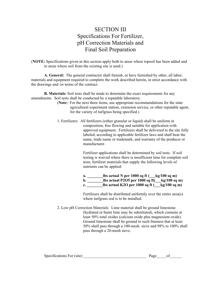## SECTION III Specifications For Fertilizer, pH Correction Materials and Final Soil Preparation

(**NOTE:** Specifications given in this section apply both to areas where topsoil has been added and to areas where soil from the existing site is used.)

**A. General:** The general contractor shall furnish, or have furnished by other, all labor, materials and equipment required to complete the work described herein, in strict accordance with the drawings and /or terms of the contract.

**B. Materials:** Soil tests shall be made to determine the exact requirements for any amendments. Soil tests shall be conducted by a reputable laboratory.

- (**Note:** For the next three items, use appropriate recommendations for the state agricultural experiment station, extension service, or other reputable agent, for the variety of turfgrass being specified.)
- 1. Fertilizers: All fertilizers (either granular or liquid) shall be uniform in composition, free flowing and suitable for application with approved equipment. Fertilizers shall be delivered to the site fully labeled, according to applicable fertilizer laws and shall bear the name, trade name or trademark, and warranty of the producer or manufacturer.

Fertilizer applications shall be determined by soil tests. If soil testing is waived where there is insufficient time for complete soil tests, fertilizer materials that supply the following levels of nutrients can be applied:

| a. | lbs actual N per $1000$ sq ft (<br>$kg/100$ sq m) |
|----|---------------------------------------------------|
| b. | lbs actual P2O5 per 1000 sq ft(<br>$kg/100$ sq m) |
| c. | lbs actual K2O per 1000 sq ft (<br>$kg/100$ sq m) |

Fertilizers shall be distributed uniformly over the entire area(s) where turfgrass sod is to be installed.

2. Low pH Correction Materials: Lime material shall be ground limestone (hydrated or burnt lime may be substituted), which contains at least 50% total oxides (calcium oxide plus magnesium oxide). Ground limestone shall be ground to such fineness that at least 50% shall pass through a 100-mesh sieve and 98% to 100% shall pass through a 20-mesh sieve.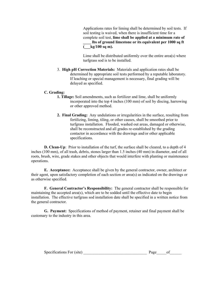Applications rates for liming shall be determined by soil tests. If soil testing is waived, when there is insufficient time for a complete soil test, **lime shall be applied at a minimum rate of \_\_\_\_ lbs of ground limestone or its equivalent per 1000 sq ft (\_\_\_kg/100 sq m).** 

Lime shall be distributed uniformly over the entire area(s) where turfgrass sod is to be installed.

3. **High pH Correction Materials:** Materials and application rates shall be determined by appropriate soil tests performed by a reputable laboratory. If leaching or special management is necessary, final grading will be delayed as specified.

#### **C. Grading:**

- **1. Tillage:** Soil amendments, such as fertilizer and lime, shall be uniformly incorporated into the top 4 inches (100 mm) of soil by discing, harrowing or other approved method.
- **2. Final Grading:** Any undulations or irregularities in the surface, resulting from fertilizing, liming, tiling, or other causes, shall be smoothed prior to turfgrass installation. Flooded, washed out areas, damaged or otherwise, shall be reconstructed and all grades re-established by the grading contactor in accordance with the drawings and/or other applicable specifications.

**D. Clean-Up**: Prior to installation of the turf, the surface shall be cleared, to a depth of 4 inches (100 mm), of all trash, debris, stones larger than 1.5 inches (40 mm) in diameter, and of all roots, brush, wire, grade stakes and other objects that would interfere with planting or maintenance operations.

**E. Acceptance:** Acceptance shall be given by the general contractor, owner, architect or their agent, upon satisfactory completion of each section or area(s) as indicated on the drawings or as otherwise specified.

**F. General Contractor's Responsibility:** The general contractor shall be responsible for maintaining the accepted area(s), which are to be sodded until the effective date to begin installation. The effective turfgrass sod installation date shall be specified in a written notice from the general contractor.

| Specifications For (site) | Page |  |
|---------------------------|------|--|
|---------------------------|------|--|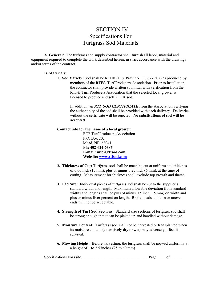## SECTION IV Specifications For Turfgrass Sod Materials

**A. General:** The turfgrass sod supply contractor shall furnish all labor, material and equipment required to complete the work described herein, in strict accordance with the drawings and/or terms of the contract.

#### **B. Materials:**

**1. Sod Variety:** Sod shall be RTF® (U.S. Patent NO. 6,677,507) as produced by members of the RTF<sup>®</sup> Turf Producers Association. Prior to installation. the contractor shall provide written submittal with verification from the RTF<sup>®</sup> Turf Producers Association that the selected local grower is licensed to produce and sell RTF® sod.

 In addition, an *RTF SOD CERTIFICATE* from the Association verifying the authenticity of the sod shall be provided with each delivery. Deliveries without the certificate will be rejected. **No substitutions of sod will be accepted.** 

#### **Contact info for the name of a local grower:**

 RTF Turf Producers Association P.O. Box 202 Mead, NE 68041 **Ph: 402-624-6385 E-mail: info@rtfsod.com Website: [www.rtfsod.com](http://www.rtfsod.com/)**

- **2. Thickness of Cut:** Turfgrass sod shall be machine cut at uniform soil thickness of 0.60 inch (15 mm), plus or minus 0.25 inch (6 mm), at the time of cutting. Measurement for thickness shall exclude top growth and thatch.
- **3. Pad Size:** Individual pieces of turfgrass sod shall be cut to the supplier's standard width and length. Maximum allowable deviation from standard widths and lengths shall be plus of minus 0.5 inch (15 mm) on width and plus or minus fiver percent on length. Broken pads and torn or uneven ends will not be acceptable.
- **4. Strength of Turf Sod Sections:** Standard size sections of turfgrass sod shall be strong enough that it can be picked up and handled without damage.
- **5. Moisture Content:** Turfgrass sod shall not be harvested or transplanted when its moisture content (excessively dry or wet) may adversely affect its survival.
- **6. Mowing Height:** Before harvesting, the turfgrass shall be mowed uniformly at a height of 1 to 2.5 inches (25 to 60 mm).

Specifications For (site) \_\_\_\_\_\_\_\_\_\_\_\_\_\_\_\_\_\_\_\_\_\_\_\_\_\_\_\_\_\_\_\_ Page\_\_\_\_\_of\_\_\_\_\_\_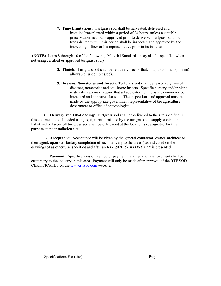**7. Time Limitations:** Turfgrass sod shall be harvested, delivered and installed/transplanted within a period of 24 hours, unless a suitable preservation method is approved prior to delivery. Turfgrass sod not transplanted within this period shall be inspected and approved by the inspecting officer or his representative prior to its installation.

 (**NOTE:** Items 8 through 10 of the following "Material Standards" may also be specified when not using certified or approved turfgrass sod.)

- **8. Thatch:** Turfgrass sod shall be relatively free of thatch, up to 0.5 inch (15 mm) allowable (uncompressed).
- **9. Diseases, Nematodes and Insects:** Turfgrass sod shall be reasonably free of diseases, nematodes and soil-borne insects. Specific nursery and/or plant materials laws may require that all sod entering inter-state commerce be inspected and approved for sale. The inspections and approval must be made by the appropriate government representative of the agriculture department or office of entomologist.

**C. Delivery and Off-Loading:** Turfgrass sod shall be delivered to the site specified in this contract and off-loaded using equipment furnished by the turfgrass sod supply contactor. Palletized or large-roll turfgrass sod shall be off-loaded at the location(s) designated for this purpose at the installation site.

**E. Acceptance:** Acceptance will be given by the general contractor, owner, architect or their agent, upon satisfactory completion of each delivery to the area(s) as indicated on the drawings of as otherwise specified and after an *RTF SOD CERTIFICATE* is presented.

**F. Payment:** Specifications of method of payment, retainer and final payment shall be customary to the industry in this area. Payment will only be made after approval of the RTF SOD CERTIFICATES on the [www.rtfsod.com](http://www.rtfsod.com/) website.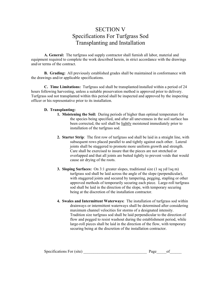## SECTION V Specifications For Turfgrass Sod Transplanting and Installation

**A. General:** The turfgrass sod supply contractor shall furnish all labor, material and equipment required to complete the work described herein, in strict accordance with the drawings and/or terms of the contract.

**B. Grading:** All previously established grades shall be maintained in conformance with the drawings and/or applicable specifications.

**C. Time Limitations:** Turfgrass sod shall be transplanted/installed within a period of 24 hours following harvesting, unless a suitable preservation method is approved prior to delivery. Turfgrass sod not transplanted within this period shall be inspected and approved by the inspecting officer or his representative prior to its installation.

#### **D. Transplanting:**

- **1. Moistening the Soil:** During periods of higher than optimal temperature for the species being specified, and after all unevenness in the soil surface has been corrected, the soil shall be lightly moistened immediately prior to installation of the turfgrass sod.
- **2. Starter Strip**: The first row of turfgrass sod shall be laid in a straight line, with subsequent rows placed parallel to and tightly against each other. Lateral joints shall be staggered to promote more uniform growth and strength. Care shall be exercised to insure that the pieces are not stretched or overlapped and that all joints are butted tightly to prevent voids that would cause air drying of the roots.
- **3. Sloping Surfaces:** On 3:1 greater slopes, traditional size (1 sq yd/1sq m) turfgrass sod shall be laid across the angle of the slope (perpendicular), with staggered joints and secured by tampering, pegging, stapling or other approved methods of temporarily securing each piece. Large-roll turfgrass sod shall be laid in the direction of the slope, with temporary securing being at the discretion of the installation contractor.
- **4. Swales and Intermittent Waterways:** The installation of turfgrass sod within drainways or intermittent waterways shall be determined after considering maximum channel velocities for storms of a designated intensity. Tradition size turfgrass sod shall be laid perpendicular to the direction of flow and pegged to resist washout during the establishment period, while large-roll pieces shall be laid in the direction of the flow, with temporary securing being at the discretion of the installation contractor.

| Specifications For (site) | Page |  |  |
|---------------------------|------|--|--|
|---------------------------|------|--|--|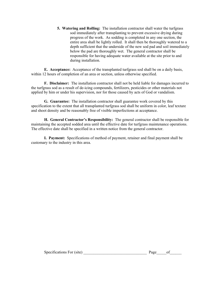**5. Watering and Rolling:** The installation contractor shall water the turfgrass sod immediately after transplanting to prevent excessive drying during progress of the work. As sodding is completed in any one section, the entire area shall be lightly rolled. It shall then be thoroughly watered to a depth sufficient that the underside of the new sod pad and soil immediately below the pad are thoroughly wet. The general contractor shall be responsible for having adequate water available at the site prior to and during installation.

**E. Acceptance:** Acceptance of the transplanted turfgrass sod shall be on a daily basis, within 12 hours of completion of an area or section, unless otherwise specified.

**F. Disclaimer:** The installation contractor shall not be held liable for damages incurred to the turfgrass sod as a result of de-icing compounds, fertilizers, pesticides or other materials not applied by him or under his supervision, nor for those caused by acts of God or vandalism.

**G. Guarantee:** The installation contractor shall guarantee work covered by this specification to the extent that all transplanted turfgrass sod shall be uniform in color, leaf texture and shoot density and be reasonably free of visible imperfections at acceptance.

**H. General Contractor's Responsibility:** The general contractor shall be responsible for maintaining the accepted sodded area until the effective date for turfgrass maintenance operations. The effective date shall be specified in a written notice from the general contractor.